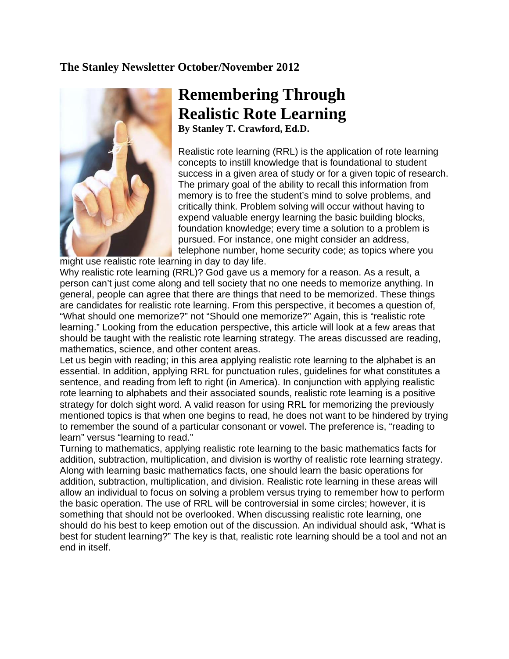## **The Stanley Newsletter October/November 2012**



## **Remembering Through Realistic Rote Learning**

**By Stanley T. Crawford, Ed.D.** 

Realistic rote learning (RRL) is the application of rote learning concepts to instill knowledge that is foundational to student success in a given area of study or for a given topic of research. The primary goal of the ability to recall this information from memory is to free the student's mind to solve problems, and critically think. Problem solving will occur without having to expend valuable energy learning the basic building blocks, foundation knowledge; every time a solution to a problem is pursued. For instance, one might consider an address, telephone number, home security code; as topics where you

might use realistic rote learning in day to day life.

Why realistic rote learning (RRL)? God gave us a memory for a reason. As a result, a person can't just come along and tell society that no one needs to memorize anything. In general, people can agree that there are things that need to be memorized. These things are candidates for realistic rote learning. From this perspective, it becomes a question of, "What should one memorize?" not "Should one memorize?" Again, this is "realistic rote learning." Looking from the education perspective, this article will look at a few areas that should be taught with the realistic rote learning strategy. The areas discussed are reading, mathematics, science, and other content areas.

Let us begin with reading; in this area applying realistic rote learning to the alphabet is an essential. In addition, applying RRL for punctuation rules, guidelines for what constitutes a sentence, and reading from left to right (in America). In conjunction with applying realistic rote learning to alphabets and their associated sounds, realistic rote learning is a positive strategy for dolch sight word. A valid reason for using RRL for memorizing the previously mentioned topics is that when one begins to read, he does not want to be hindered by trying to remember the sound of a particular consonant or vowel. The preference is, "reading to learn" versus "learning to read."

Turning to mathematics, applying realistic rote learning to the basic mathematics facts for addition, subtraction, multiplication, and division is worthy of realistic rote learning strategy. Along with learning basic mathematics facts, one should learn the basic operations for addition, subtraction, multiplication, and division. Realistic rote learning in these areas will allow an individual to focus on solving a problem versus trying to remember how to perform the basic operation. The use of RRL will be controversial in some circles; however, it is something that should not be overlooked. When discussing realistic rote learning, one should do his best to keep emotion out of the discussion. An individual should ask, "What is best for student learning?" The key is that, realistic rote learning should be a tool and not an end in itself.